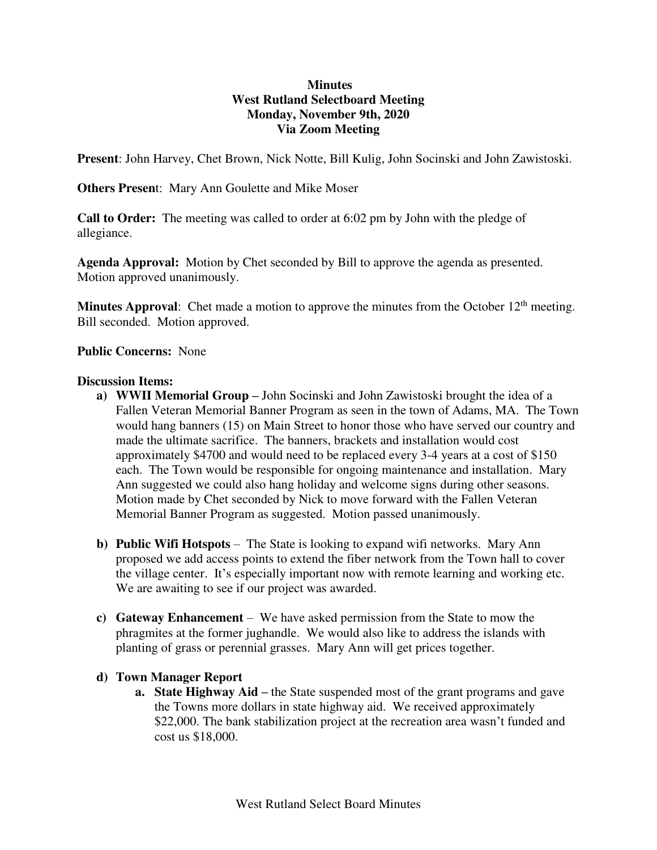## **Minutes West Rutland Selectboard Meeting Monday, November 9th, 2020 Via Zoom Meeting**

**Present**: John Harvey, Chet Brown, Nick Notte, Bill Kulig, John Socinski and John Zawistoski.

**Others Presen**t: Mary Ann Goulette and Mike Moser

**Call to Order:** The meeting was called to order at 6:02 pm by John with the pledge of allegiance.

**Agenda Approval:** Motion by Chet seconded by Bill to approve the agenda as presented. Motion approved unanimously.

**Minutes Approval:** Chet made a motion to approve the minutes from the October 12<sup>th</sup> meeting. Bill seconded. Motion approved.

## **Public Concerns:** None

### **Discussion Items:**

- **a) WWII Memorial Group –** John Socinski and John Zawistoski brought the idea of a Fallen Veteran Memorial Banner Program as seen in the town of Adams, MA. The Town would hang banners (15) on Main Street to honor those who have served our country and made the ultimate sacrifice. The banners, brackets and installation would cost approximately \$4700 and would need to be replaced every 3-4 years at a cost of \$150 each. The Town would be responsible for ongoing maintenance and installation. Mary Ann suggested we could also hang holiday and welcome signs during other seasons. Motion made by Chet seconded by Nick to move forward with the Fallen Veteran Memorial Banner Program as suggested. Motion passed unanimously.
- **b) Public Wifi Hotspots** The State is looking to expand wifi networks. Mary Ann proposed we add access points to extend the fiber network from the Town hall to cover the village center. It's especially important now with remote learning and working etc. We are awaiting to see if our project was awarded.
- **c) Gateway Enhancement** We have asked permission from the State to mow the phragmites at the former jughandle. We would also like to address the islands with planting of grass or perennial grasses. Mary Ann will get prices together.

### **d) Town Manager Report**

**a. State Highway Aid** – the State suspended most of the grant programs and gave the Towns more dollars in state highway aid. We received approximately \$22,000. The bank stabilization project at the recreation area wasn't funded and cost us \$18,000.